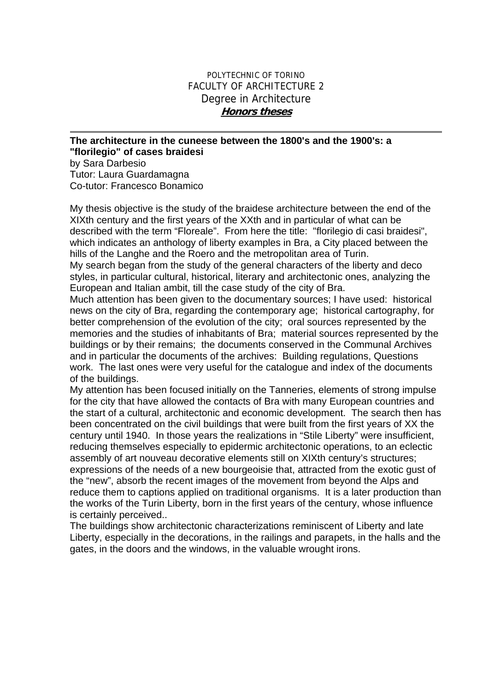## POLYTECHNIC OF TORINO FACULTY OF ARCHITECTURE 2 Degree in Architecture **Honors theses**

## **The architecture in the cuneese between the 1800's and the 1900's: a "florilegio" of cases braidesi**

by Sara Darbesio Tutor: Laura Guardamagna Co-tutor: Francesco Bonamico

My thesis objective is the study of the braidese architecture between the end of the XIXth century and the first years of the XXth and in particular of what can be described with the term "Floreale". From here the title: "florilegio di casi braidesi", which indicates an anthology of liberty examples in Bra, a City placed between the hills of the Langhe and the Roero and the metropolitan area of Turin.

My search began from the study of the general characters of the liberty and deco styles, in particular cultural, historical, literary and architectonic ones, analyzing the European and Italian ambit, till the case study of the city of Bra.

Much attention has been given to the documentary sources; I have used: historical news on the city of Bra, regarding the contemporary age; historical cartography, for better comprehension of the evolution of the city; oral sources represented by the memories and the studies of inhabitants of Bra; material sources represented by the buildings or by their remains; the documents conserved in the Communal Archives and in particular the documents of the archives: Building regulations, Questions work. The last ones were very useful for the catalogue and index of the documents of the buildings.

My attention has been focused initially on the Tanneries, elements of strong impulse for the city that have allowed the contacts of Bra with many European countries and the start of a cultural, architectonic and economic development. The search then has been concentrated on the civil buildings that were built from the first years of XX the century until 1940. In those years the realizations in "Stile Liberty" were insufficient, reducing themselves especially to epidermic architectonic operations, to an eclectic assembly of art nouveau decorative elements still on XIXth century's structures; expressions of the needs of a new bourgeoisie that, attracted from the exotic gust of the "new", absorb the recent images of the movement from beyond the Alps and reduce them to captions applied on traditional organisms. It is a later production than the works of the Turin Liberty, born in the first years of the century, whose influence is certainly perceived..

The buildings show architectonic characterizations reminiscent of Liberty and late Liberty, especially in the decorations, in the railings and parapets, in the halls and the gates, in the doors and the windows, in the valuable wrought irons.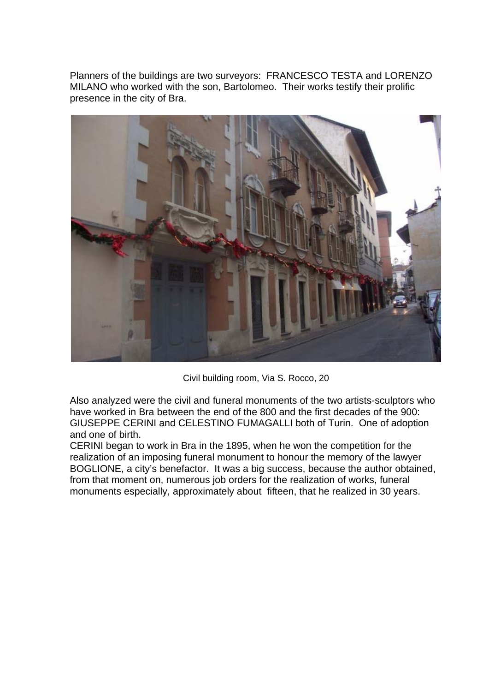Planners of the buildings are two surveyors: FRANCESCO TESTA and LORENZO MILANO who worked with the son, Bartolomeo. Their works testify their prolific presence in the city of Bra.



Civil building room, Via S. Rocco, 20

Also analyzed were the civil and funeral monuments of the two artists-sculptors who have worked in Bra between the end of the 800 and the first decades of the 900: GIUSEPPE CERINI and CELESTINO FUMAGALLI both of Turin. One of adoption and one of birth.

CERINI began to work in Bra in the 1895, when he won the competition for the realization of an imposing funeral monument to honour the memory of the lawyer BOGLIONE, a city's benefactor. It was a big success, because the author obtained, from that moment on, numerous job orders for the realization of works, funeral monuments especially, approximately about fifteen, that he realized in 30 years.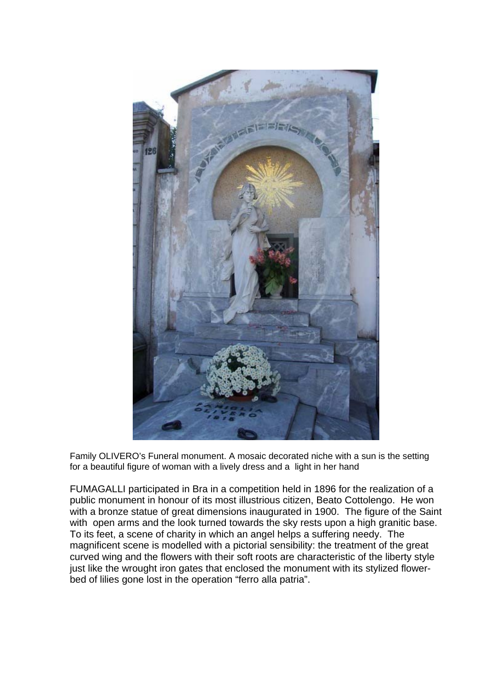

Family OLIVERO's Funeral monument. A mosaic decorated niche with a sun is the setting for a beautiful figure of woman with a lively dress and a light in her hand

FUMAGALLI participated in Bra in a competition held in 1896 for the realization of a public monument in honour of its most illustrious citizen, Beato Cottolengo. He won with a bronze statue of great dimensions inaugurated in 1900. The figure of the Saint with open arms and the look turned towards the sky rests upon a high granitic base. To its feet, a scene of charity in which an angel helps a suffering needy. The magnificent scene is modelled with a pictorial sensibility: the treatment of the great curved wing and the flowers with their soft roots are characteristic of the liberty style just like the wrought iron gates that enclosed the monument with its stylized flowerbed of lilies gone lost in the operation "ferro alla patria".